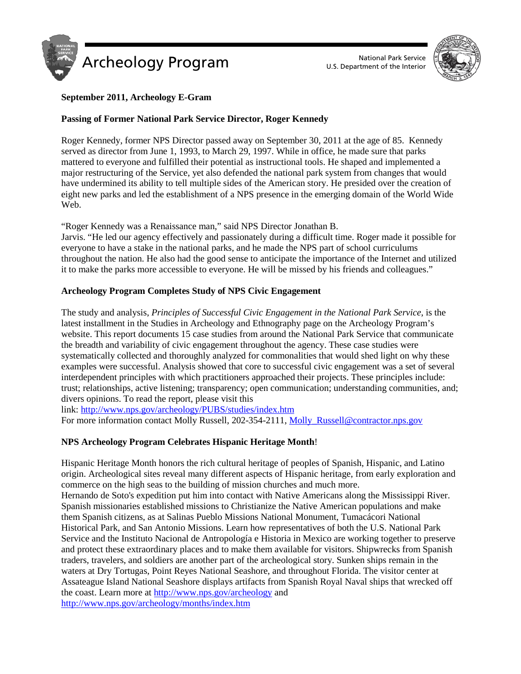



# **September 2011, Archeology E-Gram**

## **Passing of Former National Park Service Director, Roger Kennedy**

Roger Kennedy, former NPS Director passed away on September 30, 2011 at the age of 85. Kennedy served as director from June 1, 1993, to March 29, 1997. While in office, he made sure that parks mattered to everyone and fulfilled their potential as instructional tools. He shaped and implemented a major restructuring of the Service, yet also defended the national park system from changes that would have undermined its ability to tell multiple sides of the American story. He presided over the creation of eight new parks and led the establishment of a NPS presence in the emerging domain of the World Wide Web.

"Roger Kennedy was a Renaissance man," said NPS Director Jonathan B. Jarvis. "He led our agency effectively and passionately during a difficult time. Roger made it possible for everyone to have a stake in the national parks, and he made the NPS part of school curriculums throughout the nation. He also had the good sense to anticipate the importance of the Internet and utilized

it to make the parks more accessible to everyone. He will be missed by his friends and colleagues."

## **Archeology Program Completes Study of NPS Civic Engagement**

The study and analysis, *Principles of Successful Civic Engagement in the National Park Service*, is the latest installment in the Studies in Archeology and Ethnography page on the Archeology Program's website. This report documents 15 case studies from around the National Park Service that communicate the breadth and variability of civic engagement throughout the agency. These case studies were systematically collected and thoroughly analyzed for commonalities that would shed light on why these examples were successful. Analysis showed that core to successful civic engagement was a set of several interdependent principles with which practitioners approached their projects. These principles include: trust; relationships, active listening; transparency; open communication; understanding communities, and; divers opinions. To read the report, please visit this

link: <http://www.nps.gov/archeology/PUBS/studies/index.htm>

For more information contact Molly Russell, 202-354-2111, Molly Russell@contractor.nps.gov

# **NPS Archeology Program Celebrates Hispanic Heritage Month**!

Hispanic Heritage Month honors the rich cultural heritage of peoples of Spanish, Hispanic, and Latino origin. Archeological sites reveal many different aspects of Hispanic heritage, from early exploration and commerce on the high seas to the building of mission churches and much more.

Hernando de Soto's expedition put him into contact with Native Americans along the Mississippi River. Spanish missionaries established missions to Christianize the Native American populations and make them Spanish citizens, as at Salinas Pueblo Missions National Monument, Tumacácori National Historical Park, and San Antonio Missions. Learn how representatives of both the U.S. National Park Service and the Instituto Nacional de Antropología e Historia in Mexico are working together to preserve and protect these extraordinary places and to make them available for visitors. Shipwrecks from Spanish traders, travelers, and soldiers are another part of the archeological story. Sunken ships remain in the waters at Dry Tortugas, Point Reyes National Seashore, and throughout Florida. The visitor center at Assateague Island National Seashore displays artifacts from Spanish Royal Naval ships that wrecked off the coast. Learn more a[t http://www.nps.gov/archeology](http://www.nps.gov/archeology) and <http://www.nps.gov/archeology/months/index.htm>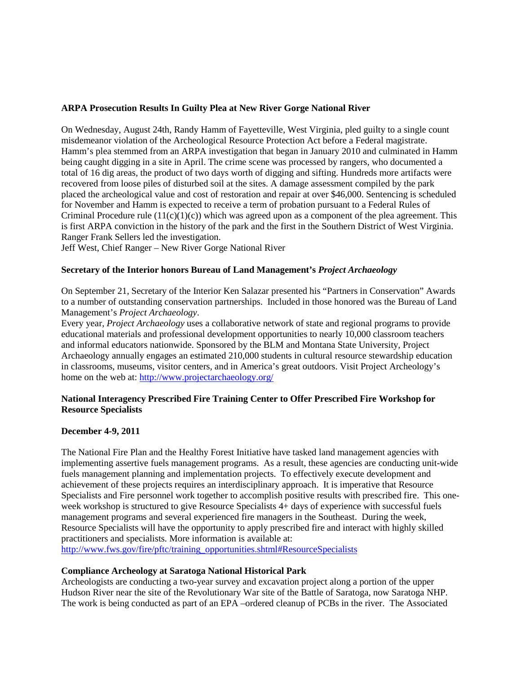### **ARPA Prosecution Results In Guilty Plea at New River Gorge National River**

On Wednesday, August 24th, Randy Hamm of Fayetteville, West Virginia, pled guilty to a single count misdemeanor violation of the Archeological Resource Protection Act before a Federal magistrate. Hamm's plea stemmed from an ARPA investigation that began in January 2010 and culminated in Hamm being caught digging in a site in April. The crime scene was processed by rangers, who documented a total of 16 dig areas, the product of two days worth of digging and sifting. Hundreds more artifacts were recovered from loose piles of disturbed soil at the sites. A damage assessment compiled by the park placed the archeological value and cost of restoration and repair at over \$46,000. Sentencing is scheduled for November and Hamm is expected to receive a term of probation pursuant to a Federal Rules of Criminal Procedure rule  $(11(c)(1)(c))$  which was agreed upon as a component of the plea agreement. This is first ARPA conviction in the history of the park and the first in the Southern District of West Virginia. Ranger Frank Sellers led the investigation.

Jeff West, Chief Ranger – New River Gorge National River

#### **Secretary of the Interior honors Bureau of Land Management's** *Project Archaeology*

On September 21, Secretary of the Interior Ken Salazar presented his "Partners in Conservation" Awards to a number of outstanding conservation partnerships. Included in those honored was the Bureau of Land Management's *Project Archaeology*.

Every year, *Project Archaeology* uses a collaborative network of state and regional programs to provide educational materials and professional development opportunities to nearly 10,000 classroom teachers and informal educators nationwide. Sponsored by the BLM and Montana State University, Project Archaeology annually engages an estimated 210,000 students in cultural resource stewardship education in classrooms, museums, visitor centers, and in America's great outdoors. Visit Project Archeology's home on the web at:<http://www.projectarchaeology.org/>

### **National Interagency Prescribed Fire Training Center to Offer Prescribed Fire Workshop for Resource Specialists**

#### **December 4-9, 2011**

The National Fire Plan and the Healthy Forest Initiative have tasked land management agencies with implementing assertive fuels management programs. As a result, these agencies are conducting unit-wide fuels management planning and implementation projects. To effectively execute development and achievement of these projects requires an interdisciplinary approach. It is imperative that Resource Specialists and Fire personnel work together to accomplish positive results with prescribed fire. This oneweek workshop is structured to give Resource Specialists 4+ days of experience with successful fuels management programs and several experienced fire managers in the Southeast. During the week, Resource Specialists will have the opportunity to apply prescribed fire and interact with highly skilled practitioners and specialists. More information is available at: [http://www.fws.gov/fire/pftc/training\\_opportunities.shtml#ResourceSpecialists](http://www.fws.gov/fire/pftc/training_opportunities.shtml#ResourceSpecialists)

**Compliance Archeology at Saratoga National Historical Park**

Archeologists are conducting a two-year survey and excavation project along a portion of the upper Hudson River near the site of the Revolutionary War site of the Battle of Saratoga, now Saratoga NHP. The work is being conducted as part of an EPA –ordered cleanup of PCBs in the river. The Associated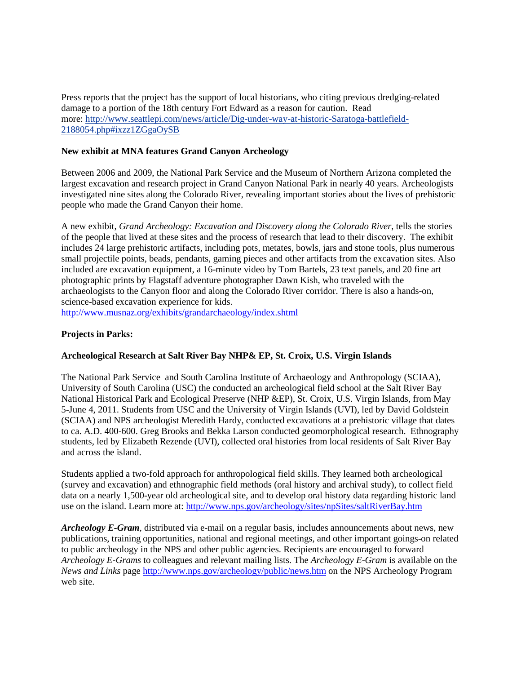Press reports that the project has the support of local historians, who citing previous dredging-related damage to a portion of the 18th century Fort Edward as a reason for caution. Read more: [http://www.seattlepi.com/news/article/Dig-under-way-at-historic-Saratoga-battlefield-](http://www.seattlepi.com/news/article/Dig-under-way-at-historic-Saratoga-battlefield-2188054.php#ixzz1ZGgaOySB)[2188054.php#ixzz1ZGgaOySB](http://www.seattlepi.com/news/article/Dig-under-way-at-historic-Saratoga-battlefield-2188054.php#ixzz1ZGgaOySB)

### **New exhibit at MNA features Grand Canyon Archeology**

Between 2006 and 2009, the National Park Service and the Museum of Northern Arizona completed the largest excavation and research project in Grand Canyon National Park in nearly 40 years. Archeologists investigated nine sites along the Colorado River, revealing important stories about the lives of prehistoric people who made the Grand Canyon their home.

A new exhibit, *Grand Archeology: Excavation and Discovery along the Colorado River*, tells the stories of the people that lived at these sites and the process of research that lead to their discovery. The exhibit includes 24 large prehistoric artifacts, including pots, metates, bowls, jars and stone tools, plus numerous small projectile points, beads, pendants, gaming pieces and other artifacts from the excavation sites. Also included are excavation equipment, a 16-minute video by Tom Bartels, 23 text panels, and 20 fine art photographic prints by Flagstaff adventure photographer Dawn Kish, who traveled with the archaeologists to the Canyon floor and along the Colorado River corridor. There is also a hands-on, science-based excavation experience for kids. <http://www.musnaz.org/exhibits/grandarchaeology/index.shtml>

### **Projects in Parks:**

### **Archeological Research at Salt River Bay NHP& EP, St. Croix, U.S. Virgin Islands**

The National Park Service and South Carolina Institute of Archaeology and Anthropology (SCIAA), University of South Carolina (USC) the conducted an archeological field school at the Salt River Bay National Historical Park and Ecological Preserve (NHP &EP), St. Croix, U.S. Virgin Islands, from May 5-June 4, 2011. Students from USC and the University of Virgin Islands (UVI), led by David Goldstein (SCIAA) and NPS archeologist Meredith Hardy, conducted excavations at a prehistoric village that dates to ca. A.D. 400-600. Greg Brooks and Bekka Larson conducted geomorphological research. Ethnography students, led by Elizabeth Rezende (UVI), collected oral histories from local residents of Salt River Bay and across the island.

Students applied a two-fold approach for anthropological field skills. They learned both archeological (survey and excavation) and ethnographic field methods (oral history and archival study), to collect field data on a nearly 1,500-year old archeological site, and to develop oral history data regarding historic land use on the island. Learn more at:<http://www.nps.gov/archeology/sites/npSites/saltRiverBay.htm>

*Archeology E-Gram*, distributed via e-mail on a regular basis, includes announcements about news, new publications, training opportunities, national and regional meetings, and other important goings-on related to public archeology in the NPS and other public agencies. Recipients are encouraged to forward *Archeology E-Grams* to colleagues and relevant mailing lists. The *Archeology E-Gram* is available on the *News and Links* page<http://www.nps.gov/archeology/public/news.htm> on the NPS Archeology Program web site.